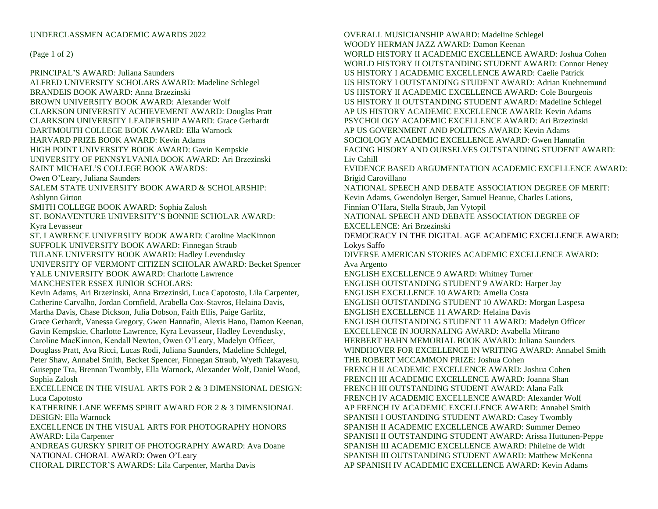## UNDERCLASSMEN ACADEMIC AWARDS 2022

## (Page 1 of 2)

PRINCIPAL'S AWARD: Juliana Saunders ALFRED UNIVERSITY SCHOLARS AWARD: Madeline Schlegel BRANDEIS BOOK AWARD: Anna Brzezinski BROWN UNIVERSITY BOOK AWARD: Alexander Wolf CLARKSON UNIVERSITY ACHIEVEMENT AWARD: Douglas Pratt CLARKSON UNIVERSITY LEADERSHIP AWARD: Grace Gerhardt DARTMOUTH COLLEGE BOOK AWARD: Ella Warnock HARVARD PRIZE BOOK AWARD: Kevin Adams HIGH POINT UNIVERSITY BOOK AWARD: Gavin Kempskie UNIVERSITY OF PENNSYLVANIA BOOK AWARD: Ari Brzezinski SAINT MICHAEL'S COLLEGE BOOK AWARDS: Owen O'Leary, Juliana Saunders SALEM STATE UNIVERSITY BOOK AWARD & SCHOLARSHIP: Ashlynn Girton SMITH COLLEGE BOOK AWARD: Sophia Zalosh ST. BONAVENTURE UNIVERSITY'S BONNIE SCHOLAR AWARD: Kyra Levasseur ST. LAWRENCE UNIVERSITY BOOK AWARD: Caroline MacKinnon SUFFOLK UNIVERSITY BOOK AWARD: Finnegan Straub TULANE UNIVERSITY BOOK AWARD: Hadley Levendusky UNIVERSITY OF VERMONT CITIZEN SCHOLAR AWARD: Becket Spencer YALE UNIVERSITY BOOK AWARD: Charlotte Lawrence MANCHESTER ESSEX JUNIOR SCHOLARS: Kevin Adams, Ari Brzezinski, Anna Brzezinski, Luca Capotosto, Lila Carpenter, Catherine Carvalho, Jordan Cornfield, Arabella Cox-Stavros, Helaina Davis, Martha Davis, Chase Dickson, Julia Dobson, Faith Ellis, Paige Garlitz, Grace Gerhardt, Vanessa Gregory, Gwen Hannafin, Alexis Hano, Damon Keenan, Gavin Kempskie, Charlotte Lawrence, Kyra Levasseur, Hadley Levendusky, Caroline MacKinnon, Kendall Newton, Owen O'Leary, Madelyn Officer, Douglass Pratt, Ava Ricci, Lucas Rodi, Juliana Saunders, Madeline Schlegel, Peter Shaw, Annabel Smith, Becket Spencer, Finnegan Straub, Wyeth Takayesu, Guiseppe Tra, Brennan Twombly, Ella Warnock, Alexander Wolf, Daniel Wood, Sophia Zalosh EXCELLENCE IN THE VISUAL ARTS FOR 2 & 3 DIMENSIONAL DESIGN: Luca Capotosto KATHERINE LANE WEEMS SPIRIT AWARD FOR 2 & 3 DIMENSIONAL DESIGN: Ella Warnock EXCELLENCE IN THE VISUAL ARTS FOR PHOTOGRAPHY HONORS AWARD: Lila Carpenter ANDREAS GURSKY SPIRIT OF PHOTOGRAPHY AWARD: Ava Doane NATIONAL CHORAL AWARD: Owen O'Leary

CHORAL DIRECTOR'S AWARDS: Lila Carpenter, Martha Davis

OVERALL MUSICIANSHIP AWARD: Madeline Schlegel WOODY HERMAN JAZZ AWARD: Damon Keenan WORLD HISTORY II ACADEMIC EXCELLENCE AWARD: Joshua Cohen WORLD HISTORY II OUTSTANDING STUDENT AWARD: Connor Heney US HISTORY I ACADEMIC EXCELLENCE AWARD: Caelie Patrick US HISTORY I OUTSTANDING STUDENT AWARD: Adrian Kuehnemund US HISTORY II ACADEMIC EXCELLENCE AWARD: Cole Bourgeois US HISTORY II OUTSTANDING STUDENT AWARD: Madeline Schlegel AP US HISTORY ACADEMIC EXCELLENCE AWARD: Kevin Adams PSYCHOLOGY ACADEMIC EXCELLENCE AWARD: Ari Brzezinski AP US GOVERNMENT AND POLITICS AWARD: Kevin Adams SOCIOLOGY ACADEMIC EXCELLENCE AWARD: Gwen Hannafin FACING HISORY AND OURSELVES OUTSTANDING STUDENT AWARD: Liv Cahill EVIDENCE BASED ARGUMENTATION ACADEMIC EXCELLENCE AWARD: Brigid Carovillano NATIONAL SPEECH AND DEBATE ASSOCIATION DEGREE OF MERIT: Kevin Adams, Gwendolyn Berger, Samuel Heanue, Charles Lations, Finnian O'Hara, Stella Straub, Jan Vytopil NATIONAL SPEECH AND DEBATE ASSOCIATION DEGREE OF EXCELLENCE: Ari Brzezinski DEMOCRACY IN THE DIGITAL AGE ACADEMIC EXCELLENCE AWARD: Lokys Saffo DIVERSE AMERICAN STORIES ACADEMIC EXCELLENCE AWARD: Ava Argento ENGLISH EXCELLENCE 9 AWARD: Whitney Turner ENGLISH OUTSTANDING STUDENT 9 AWARD: Harper Jay ENGLISH EXCELLENCE 10 AWARD: Amelia Costa ENGLISH OUTSTANDING STUDENT 10 AWARD: Morgan Laspesa ENGLISH EXCELLENCE 11 AWARD: Helaina Davis ENGLISH OUTSTANDING STUDENT 11 AWARD: Madelyn Officer EXCELLENCE IN JOURNALING AWARD: Avabella Mitrano HERBERT HAHN MEMORIAL BOOK AWARD: Juliana Saunders WINDHOVER FOR EXCELLENCE IN WRITING AWARD: Annabel Smith THE ROBERT MCCAMMON PRIZE: Joshua Cohen FRENCH II ACADEMIC EXCELLENCE AWARD: Joshua Cohen FRENCH III ACADEMIC EXCELLENCE AWARD: Joanna Shan FRENCH III OUTSTANDING STUDENT AWARD: Alana Falk FRENCH IV ACADEMIC EXCELLENCE AWARD: Alexander Wolf AP FRENCH IV ACADEMIC EXCELLENCE AWARD: Annabel Smith SPANISH I OUSTANDING STUDENT AWARD: Casey Twombly SPANISH II ACADEMIC EXCELLENCE AWARD: Summer Demeo SPANISH II OUTSTANDING STUDENT AWARD: Arissa Huttunen-Peppe SPANISH III ACADEMIC EXCELLENCE AWARD: Phileine de Widt SPANISH III OUTSTANDING STUDENT AWARD: Matthew McKenna AP SPANISH IV ACADEMIC EXCELLENCE AWARD: Kevin Adams